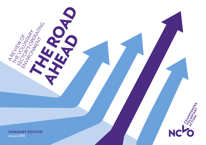

A REVIEW OF

THE VIEW OF THE

SECTORINGE<br>NUMBRIAN SARA

ENVIRONMENT

THE ROAD AHEAD

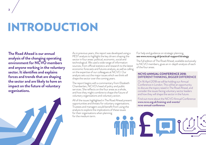# INTRODUCTION

**The Road Ahead is our annual analysis of the changing operating environment for NCVO members and anyone working in the voluntary sector. It identifies and explains forces and trends that are shaping the sector and are likely to have an impact on the future of voluntary organisations.**

As in previous years, this report was developed using a PEST analysis to highlight the key drivers shaping the sector in four areas: political, economic, social and technological. We used a wide range of information sources, from official statistics and research to the latest economic forecasts and futures analysis, as well as calling on the expertise of our colleagues at NCVO. Our analysis sets out the major issues which we think will shape the sector over the coming years.

The report begins with a commentary from Elizabeth Chamberlain, NCVO's head of policy and public services. She reflects on the four areas as a whole, and how they might combine to shape the future of voluntary organisations and voluntary action.

All of the issues highlighted in The Road Ahead present opportunities and threats for voluntary organisations. Trustees and managers would benefit from using the analysis to explore the implications of these issues for their organisations when planning

#### For help and guidance on strategic planning, see [www.ncvo.org.uk/practical-support/strategy](http://www.ncvo.org.uk/practical-support/strategy)

The full edition of The Road Ahead, available exclusively to NCVO members, gives an in-depth analysis of each of the four areas.

#### **NCVO ANNUAL CONFERENCE 2018:**  DIFFERENT THINKING, BIGGER DIFFERENCE

On 16 April 2018 we will be holding our Annual Conference in London. This will be an opportunity to discuss the topics raised in The Road Ahead, and consider the issues facing voluntary sector leaders and how they will shape the sector in the future.

[Find out more about the NCVO Annual Conference](https://www.ncvo.org.uk/training-and-events/ncvo-annual-conference) [www.ncvo.org.uk/training-and-events/](http://www.ncvo.org.uk/training-and-events/ncvo-annual-conference) [ncvo-annual-conference](http://www.ncvo.org.uk/training-and-events/ncvo-annual-conference)

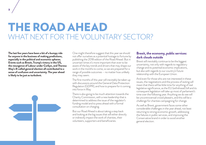## THE ROAD AHEAD WHAT NEXT FOR THE VOLUNTARY SECTOR?

**The last few years have been a bit of a bumpy ride for anyone in the business of making predictions, especially in the political and economic spheres. Events such as Brexit, Trump's victory in the US, the resurgence of Labour under Corbyn, and Theresa May's ill-called general election all contributed to a sense of confusion and uncertainty. The year ahead is likely to be just as turbulent.** 



One might therefore suggest that this year we should not offer ourselves as a potential hostage to fortune by publishing the 2018 edition of the Road Ahead. But in uncertain times it's more important than ever to be aware of the key trends and drivers that may shape our work in the months to come, so we are prepared for a range of possible outcomes – no matter how unlikely they may seem.

The first months of this year will inevitably be taken up with discussions around the General Data Protection Regulation (GDPR), and how to prepare for it coming into force in May.

There is also going to be much attention towards the Charity Commission, with a new leadership that is determined to address the issue of the regulator's funding model and to press ahead with a formal consultation on charging.

But our Road Ahead is about taking a step back and looking at the big issues that will either directly or indirectly impact the work of charities, their volunteers, supporters and beneficiaries.

#### **Brexit, the economy, public services: dark clouds outside**

Brexit will inevitably continue to be the biggest uncertainty, not only with regards to regulatory change and its potential economic implications, but also with regards to our country's future relationship with the European Union.

And even for those who are not interested in these issues, the negotiations and the process of exiting will mean that there will be little time for anything of real legislative significance, as the EU (withdrawal) bill and its consequent legislation will take up most of parliament's time over the following year. Anything we do see will be uncontroversial crowd pleasers, and this will be a challenge for charities campaigning for change.

As well as Brexit, government faces some other considerable challenges in the year ahead, not least returning to strong economic growth, addressing the failures in public services, and improving the Conservative brand in order to avoid another general election.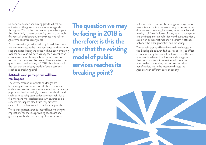So deficit reduction and driving growth will still be at the top of the government's economic agenda throughout 2018. Charities cannot ignore the impact that this is likely to have: continuing pressure on public finances will be felt particularly by those who rely on government contracts or grants.

4

At the same time, charities will step in to deliver more and more services as the state continues to withdraw its support, exacerbating the issues we have seen emerging over the past year. We have already seen a number of charities walk away from public service contracts and rethink how they meet the needs of beneficiaries. The question we may be facing in 2018 is therefore: is this the year that the existing model of public services reaches its breaking point?

#### **Attitudes and perceptions will have real impact**

These very real and immediate challenges are happening within a social context where a number of dynamics are becoming more acute. From an ageing population that increasingly requires more health and social care, to rising atomisation whereby individuals feel more and more isolated and turn towards public services for support, albeit with very different expectations and almost a transactional approach.

These are significant trends that will have meaningful implications for charities providing social care and generally involved in the delivery of public services.

**The question we may be facing in 2018 is therefore: is this the year that the existing model of public services reaches its breaking point?** 

In the meantime, we are also seeing an emergence of new potential frictions across society: social and ethnic diversity are increasing, becoming more complex and making it difficult for levels of integration to keep pace; and the intergenerational divide may be growing wider, as opinion polls sometimes show a schism in attitude between the older generation and the young.

These social trends will continue to drive changes in the British political agenda, but are also likely to affect charities directly, for example in terms of whether and how people will want to volunteer and engage with their communities. Organisations will therefore need to think about they can best support their beneficiaries, and in the meantime bridge the gaps between different parts of society.

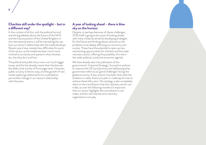#### **Charities still under the spotlight – but in a different way?**

In the context of all this, with the political turmoil and the big debates about the future of the NHS and the future position of the United Kingdom in the international arena, it will be interesting the see how our sector's relationship with the media develops. Recent years have created new difficulties for parts of the sector, as the media has been much more inclined to scrutinise and question what charities do, why they do it and how.

The political and public focus now is on much bigger issues, and this has already meant that charities are less likely to be worthy of front page news. However, public scrutiny is here to stay, and the growth of new media replacing traditional forms could lead to yet another change in our sector's relationship with the press.

#### **A year of looking ahead – there is blue sky on the horizon**

Despite, or perhaps because of, these challenges, 2018 itself is going to be a year of looking ahead, with many initiatives aimed at developing strategies for the future and thinking about solutions to the problems most deeply affecting our economy and society. These have the potential to open up new and exciting opportunities for charities and the wider voluntary sector, offering the possibility of a role in the wider political, social and economic agenda.

We have already seen the publication of the government's 'Industrial Strategy', focused on policies to improve the UK's productivity and addressing what government refers to as 'grand challenges' facing the global economy. A key criticism has been that while the ambition is noble, there is no plan or roadmap for how to achieve these lofty aims. The strategy is also completely silent on the contribution that the voluntary sector can make, so over the following months it's important that our sector highlights the contribution it can make, and the role charities and voluntary organisations can play.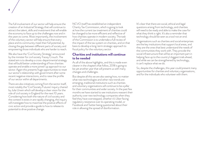The full involvement of our sector will help ensure the creation of an Industrial Strategy that will continue to attract the talent, skills and investment that will enable the economy to face up to the challenges now and in the years to come. Most importantly, the involvement of the voluntary sector will help ensure that every place and its community meet their full potential, by closing the gap between different parts of society and empowering those individuals who are harder to reach.

We also have the 'Civil Society Strategy' announced by the minister for civil society Tracey Crouch. The stated aim is to develop a cross-departmental strategy that will build better understanding of how charities operate and enable a more joined-up approach to our sector. Again this presents huge opportunities to reset our sector's relationship with government after some recent negative interactions, and to raise the profile of our sector within all departments.

There are also initiatives coming from the sector itself, most notably the 'Civil Society Futures' inquiry chaired by Julia Unwin which will develop a clear vision for the role of civil society in England for the next 10 years. Considering how both the nature of civil society and the context it exists in are rapidly changing, the inquiry will investigate how to maximise the positive effects of civic action and provide a guide to how to release its potential to drive positive change.

NCVO itself has established an independent Charity Tax Commission, which is going to look at how the current tax treatment of charities could be changed to be more efficient and reflective of how charities operate in modern society. The task of the Commission is to undertake a full review of the impact of the tax system on charities, and on that basis to develop a long-term strategic approach to fiscal policy for the voluntary sector.

#### **Charities and institutions will continue to be needed**

As all of the above highlights, and this is made even clearer in the chapters that follow, 2018 is going to be yet another year that will present us with many changes and challenges.

But despite all this we are also seeing how, no matter what new technologies and other new trends are emerging, traditional institutions such as charities and voluntary organisations will continue to be a pillar for their communities and wider society. In the past few months we have started to see institutions reassert their authority over new technology companies when they feel they have overstepped, whether it's Uber facing regulatory resistance over its operating model, or Facebook and Twitter being questioned about their role in allowing the spread of disinformation.

It's clear that there are social, ethical and legal questions arising from technology, and charities will need to be ready and able to make the case for what they think is right. It's also a reminder that technology should be seen as a tool not an end.

Organisations such as charities and social enterprises are the key institutions that support local areas, and they are the ones that best understand the needs of the communities they work with. They provide the social infrastructure that will be an important part in helping face up to the country's biggest trials ahead, and while we can be strengthened by technology, it can't replace what we do.

So, despite the challenges, this year could present many opportunities for charities and voluntary organisations, and for the individuals who volunteer with them.